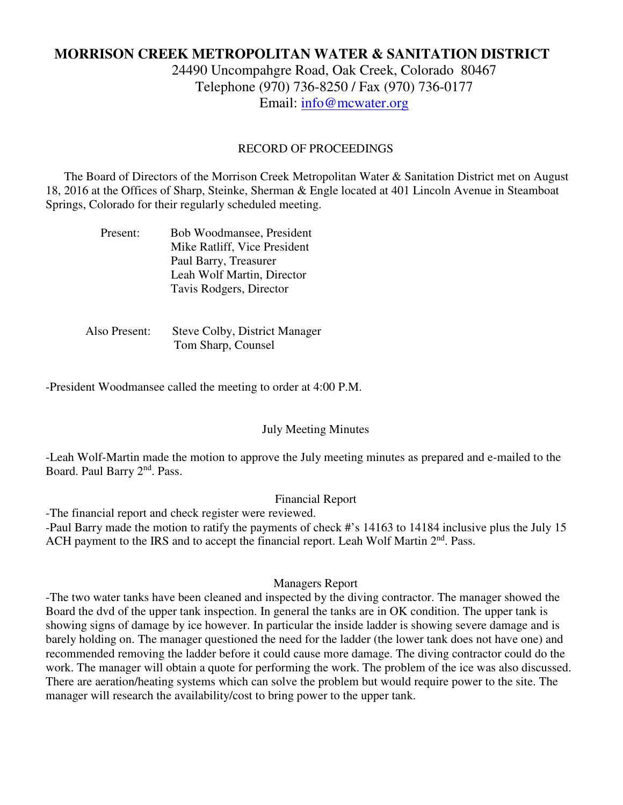# **MORRISON CREEK METROPOLITAN WATER & SANITATION DISTRICT**

24490 Uncompahgre Road, Oak Creek, Colorado 80467 Telephone (970) 736-8250 / Fax (970) 736-0177 Email: info@mcwater.org

### RECORD OF PROCEEDINGS

 The Board of Directors of the Morrison Creek Metropolitan Water & Sanitation District met on August 18, 2016 at the Offices of Sharp, Steinke, Sherman & Engle located at 401 Lincoln Avenue in Steamboat Springs, Colorado for their regularly scheduled meeting.

| Present: | Bob Woodmansee, President    |
|----------|------------------------------|
|          | Mike Ratliff, Vice President |
|          | Paul Barry, Treasurer        |
|          | Leah Wolf Martin, Director   |
|          | Tavis Rodgers, Director      |

 Also Present: Steve Colby, District Manager Tom Sharp, Counsel

-President Woodmansee called the meeting to order at 4:00 P.M.

#### July Meeting Minutes

-Leah Wolf-Martin made the motion to approve the July meeting minutes as prepared and e-mailed to the Board. Paul Barry 2<sup>nd</sup>. Pass.

### Financial Report

-The financial report and check register were reviewed.

-Paul Barry made the motion to ratify the payments of check #'s 14163 to 14184 inclusive plus the July 15 ACH payment to the IRS and to accept the financial report. Leah Wolf Martin 2<sup>nd</sup>. Pass.

#### Managers Report

-The two water tanks have been cleaned and inspected by the diving contractor. The manager showed the Board the dvd of the upper tank inspection. In general the tanks are in OK condition. The upper tank is showing signs of damage by ice however. In particular the inside ladder is showing severe damage and is barely holding on. The manager questioned the need for the ladder (the lower tank does not have one) and recommended removing the ladder before it could cause more damage. The diving contractor could do the work. The manager will obtain a quote for performing the work. The problem of the ice was also discussed. There are aeration/heating systems which can solve the problem but would require power to the site. The manager will research the availability/cost to bring power to the upper tank.